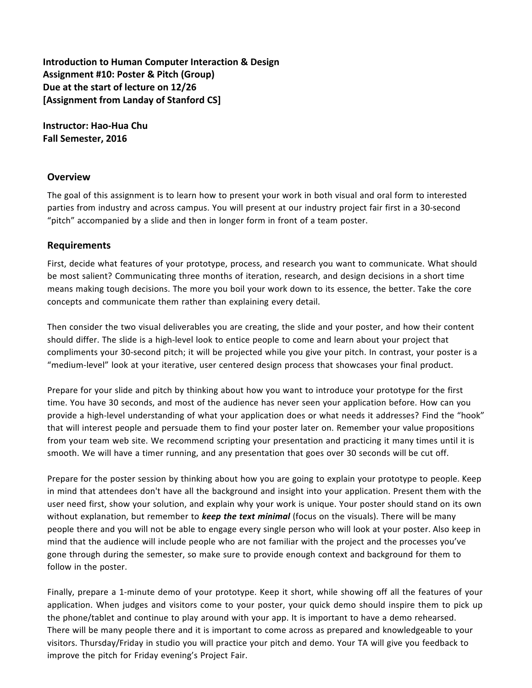**Introduction to Human Computer Interaction & Design** Assignment #10: Poster & Pitch (Group) Due at the start of lecture on 12/26 **[Assignment from Landay of Stanford CS]** 

**Instructor: Hao-Hua Chu Fall Semester, 2016**

#### **Overview**

The goal of this assignment is to learn how to present your work in both visual and oral form to interested parties from industry and across campus. You will present at our industry project fair first in a 30-second "pitch" accompanied by a slide and then in longer form in front of a team poster.

#### **Requirements**

First, decide what features of your prototype, process, and research you want to communicate. What should be most salient? Communicating three months of iteration, research, and design decisions in a short time means making tough decisions. The more you boil your work down to its essence, the better. Take the core concepts and communicate them rather than explaining every detail.

Then consider the two visual deliverables you are creating, the slide and your poster, and how their content should differ. The slide is a high-level look to entice people to come and learn about your project that compliments your 30-second pitch; it will be projected while you give your pitch. In contrast, your poster is a "medium-level" look at your iterative, user centered design process that showcases your final product.

Prepare for your slide and pitch by thinking about how you want to introduce your prototype for the first time. You have 30 seconds, and most of the audience has never seen your application before. How can you provide a high-level understanding of what your application does or what needs it addresses? Find the "hook" that will interest people and persuade them to find your poster later on. Remember your value propositions from your team web site. We recommend scripting your presentation and practicing it many times until it is smooth. We will have a timer running, and any presentation that goes over 30 seconds will be cut off.

Prepare for the poster session by thinking about how you are going to explain your prototype to people. Keep in mind that attendees don't have all the background and insight into your application. Present them with the user need first, show your solution, and explain why your work is unique. Your poster should stand on its own without explanation, but remember to *keep the text minimal* (focus on the visuals). There will be many people there and you will not be able to engage every single person who will look at your poster. Also keep in mind that the audience will include people who are not familiar with the project and the processes you've gone through during the semester, so make sure to provide enough context and background for them to follow in the poster.

Finally, prepare a 1-minute demo of your prototype. Keep it short, while showing off all the features of your application. When judges and visitors come to your poster, your quick demo should inspire them to pick up the phone/tablet and continue to play around with your app. It is important to have a demo rehearsed. There will be many people there and it is important to come across as prepared and knowledgeable to your visitors. Thursday/Friday in studio you will practice your pitch and demo. Your TA will give you feedback to improve the pitch for Friday evening's Project Fair.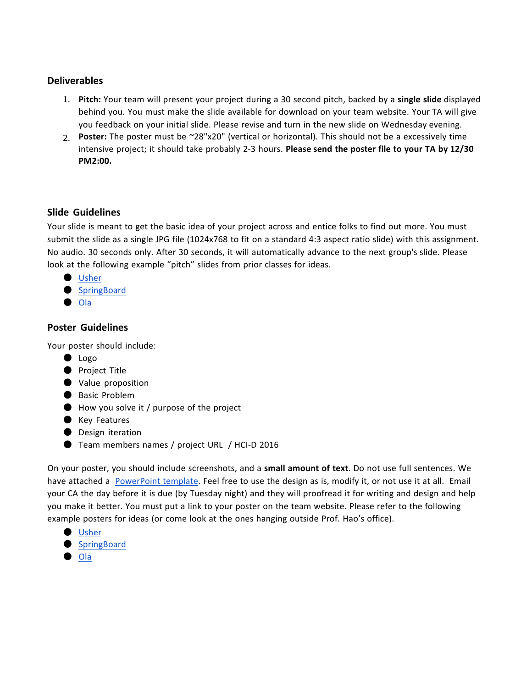## **Deliverables**

- 1. **Pitch:** Your team will present your project during a 30 second pitch, backed by a **single slide** displayed behind you. You must make the slide available for download on your team website. Your TA will give you feedback on your initial slide. Please revise and turn in the new slide on Wednesday evening.
- 2. **Poster:** The poster must be ~28"x20" (vertical or horizontal). This should not be a excessively time intensive project; it should take probably 2-3 hours. **Please send the poster file to your TA by 12/30 PM2:00.**

### **Slide Guidelines**

Your slide is meant to get the basic idea of your project across and entice folks to find out more. You must submit the slide as a single JPG file (1024x768 to fit on a standard 4:3 aspect ratio slide) with this assignment. No audio. 30 seconds only. After 30 seconds, it will automatically advance to the next group's slide. Please look at the following example "pitch" slides from prior classes for ideas.

- Usher
- SpringBoard
- Ola

### **Poster Guidelines**

Your poster should include:

- Logo
- Project Title
- Value proposition
- Basic Problem
- $\bullet$  How you solve it / purpose of the project
- Key Features
- Design iteration
- Team members names / project URL / HCI-D 2016

On your poster, you should include screenshots, and a **small amount of text**. Do not use full sentences. We have attached a PowerPoint template. Feel free to use the design as is, modify it, or not use it at all. Email your CA the day before it is due (by Tuesday night) and they will proofread it for writing and design and help you make it better. You must put a link to your poster on the team website. Please refer to the following example posters for ideas (or come look at the ones hanging outside Prof. Hao's office).

- Usher
- SpringBoard
- Ola